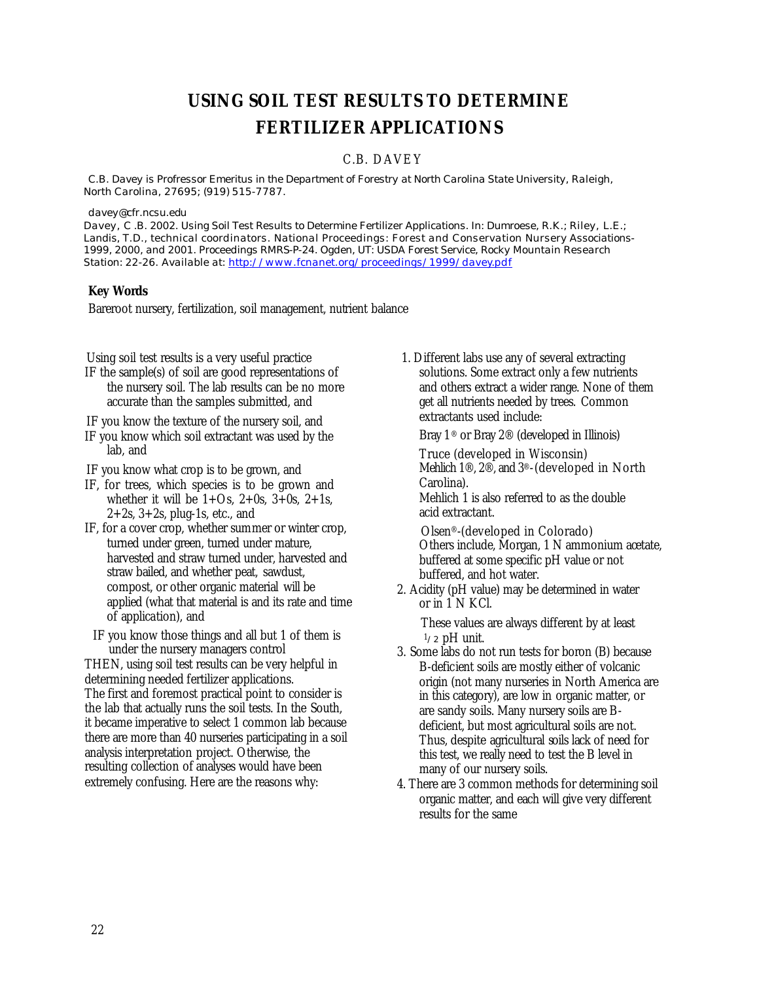# **USING SOIL TEST RESULTS TO DETERMINE FERTILIZER APPLICATIONS**

# C.B. DAVE Y

*C.B. Davey is Profressor Emeritus in the Department of Forestry at North Carolina State University, Raleigh, North Carolina, 27695; (919) 515-7787.*

*davey@cfr.ncsu.edu*

*Davey, C .B. 2002. Using Soil Test Results to Determine Fertilizer Applications. In: Dumroese, R.K.; Riley, L.E.; Landis, T.D., technical coordinators. National Proceedings: Forest and Conservation Nursery Associations-1999, 2000, and 2001. Proceedings RMRS-P-24. Ogden, UT: USDA Forest Service, Rocky Mountain Research Station: 22-26. Available at: http://www.fcnanet.org/proceedings/1999/davey.pdf*

## **Key Words**

Bareroot nursery, fertilization, soil management, nutrient balance

Using soil test results is a very useful practice

IF the sample(s) of soil are good representations of the nursery soil. The lab results can be no more accurate than the samples submitted, and

IF you know the texture of the nursery soil, and

- IF you know which soil extractant was used by the lab, and
- IF you know what crop is to be grown, and
- IF, for trees, which species is to be grown and whether it will be  $1+Os$ ,  $2+0s$ ,  $3+0s$ ,  $2+1s$ ,  $2+2s$ ,  $3+2s$ , plug-1s, etc., and
- IF, for a cover crop, whether summer or winter crop, turned under green, turned under mature, harvested and straw turned under, harvested and straw bailed, and whether peat, sawdust, compost, or other organic material will be applied (what that material is and its rate and time of application), and
	- IF you know those things and all but 1 of them is under the nursery managers control

THEN, using soil test results can be very helpful in determining needed fertilizer applications. The first and foremost practical point to consider is the lab that actually runs the soil tests. In the South, it became imperative to select 1 common lab because there are more than 40 nurseries participating in a soil analysis interpretation project. Otherwise, the resulting collection of analyses would have been extremely confusing. Here are the reasons why:

1. Different labs use any of several extracting solutions. Some extract only a few nutrients and others extract a wider range. None of them get all nutrients needed by trees. Common extractants used include:

Bray  $1^\circledR$  or Bray  $2^\circledR$  (developed in Illinois)

Truce (developed in Wisconsin) Mehlich 1®, 2®, and 3®-(developed in North Carolina).

Mehlich 1 is also referred to as the double acid extractant.

Olsen®-(developed in Colorado) Others include, Morgan, 1 N ammonium acetate, buffered at some specific pH value or not buffered, and hot water.

2. Acidity (pH value) may be determined in water or in 1 N KCl.

These values are always different by at least  $1/2$  pH unit.

- 3. Some labs do not run tests for boron (B) because B-deficient soils are mostly either of volcanic origin (not many nurseries in North America are in this category), are low in organic matter, or are sandy soils. Many nursery soils are Bdeficient, but most agricultural soils are not. Thus, despite agricultural soils lack of need for this test, we really need to test the B level in many of our nursery soils.
- 4. There are 3 common methods for determining soil organic matter, and each will give very different results for the same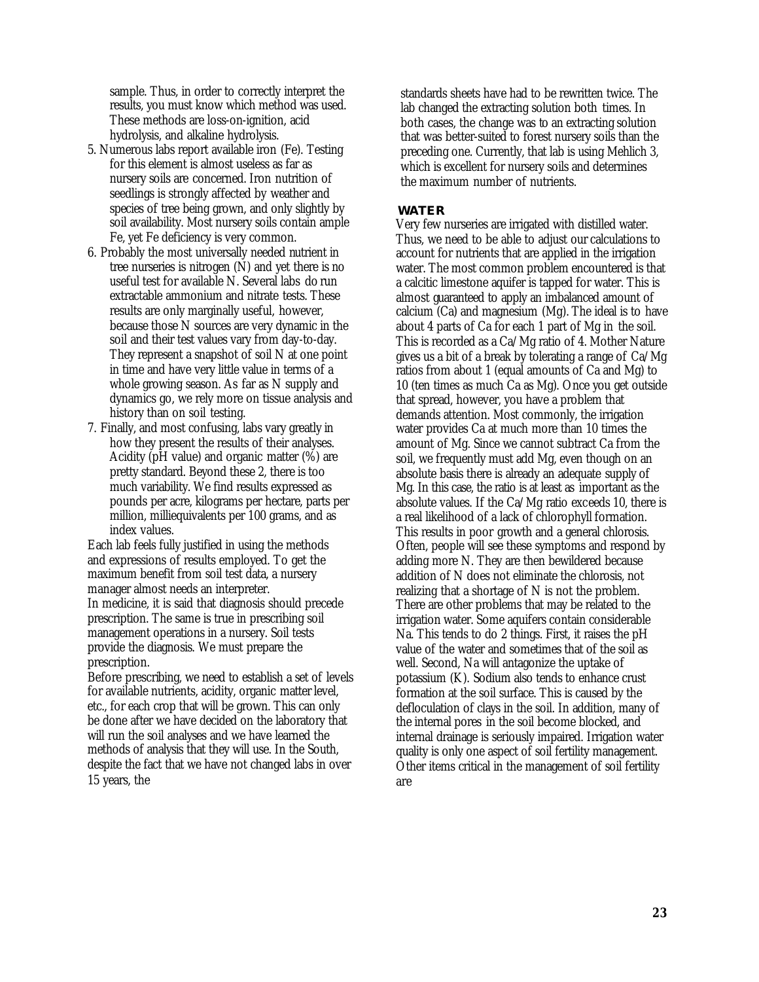sample. Thus, in order to correctly interpret the results, you must know which method was used. These methods are loss-on-ignition, acid hydrolysis, and alkaline hydrolysis.

- 5. Numerous labs report available iron (Fe). Testing for this element is almost useless as far as nursery soils are concerned. Iron nutrition of seedlings is strongly affected by weather and species of tree being grown, and only slightly by soil availability. Most nursery soils contain ample Fe, yet Fe deficiency is very common.
- 6. Probably the most universally needed nutrient in tree nurseries is nitrogen (N) and yet there is no useful test for available N. Several labs do run extractable ammonium and nitrate tests. These results are only marginally useful, however, because those N sources are very dynamic in the soil and their test values vary from day-to-day. They represent a snapshot of soil N at one point in time and have very little value in terms of a whole growing season. As far as N supply and dynamics go, we rely more on tissue analysis and history than on soil testing.
- 7. Finally, and most confusing, labs vary greatly in how they present the results of their analyses. Acidity ( $pH$  value) and organic matter  $(\%)$  are pretty standard. Beyond these 2, there is too much variability. We find results expressed as pounds per acre, kilograms per hectare, parts per million, milliequivalents per 100 grams, and as index values.

Each lab feels fully justified in using the methods and expressions of results employed. To get the maximum benefit from soil test data, a nursery manager almost needs an interpreter.

In medicine, it is said that diagnosis should precede prescription. The same is true in prescribing soil management operations in a nursery. Soil tests provide the diagnosis. We must prepare the prescription.

Before prescribing, we need to establish a set of levels for available nutrients, acidity, organic matter level, etc., for each crop that will be grown. This can only be done after we have decided on the laboratory that will run the soil analyses and we have learned the methods of analysis that they will use. In the South, despite the fact that we have not changed labs in over 15 years, the

standards sheets have had to be rewritten twice. The lab changed the extracting solution both times. In both cases, the change was to an extracting solution that was better-suited to forest nursery soils than the preceding one. Currently, that lab is using Mehlich 3, which is excellent for nursery soils and determines the maximum number of nutrients.

## **WATER**

Very few nurseries are irrigated with distilled water. Thus, we need to be able to adjust our calculations to account for nutrients that are applied in the irrigation water. The most common problem encountered is that a calcitic limestone aquifer is tapped for water. This is almost guaranteed to apply an imbalanced amount of calcium (Ca) and magnesium (Mg). The ideal is to have about 4 parts of Ca for each 1 part of Mg in the soil. This is recorded as a Ca/Mg ratio of 4. Mother Nature gives us a bit of a break by tolerating a range of Ca/Mg ratios from about 1 (equal amounts of Ca and Mg) to 10 (ten times as much Ca as Mg). Once you get outside that spread, however, you have a problem that demands attention. Most commonly, the irrigation water provides Ca at much more than 10 times the amount of Mg. Since we cannot subtract Ca from the soil, we frequently must add Mg, even though on an absolute basis there is already an adequate supply of Mg. In this case, the ratio is at least as important as the absolute values. If the Ca/Mg ratio exceeds 10, there is a real likelihood of a lack of chlorophyll formation. This results in poor growth and a general chlorosis. Often, people will see these symptoms and respond by adding more N. They are then bewildered because addition of N does not eliminate the chlorosis, not realizing that a shortage of N is not the problem. There are other problems that may be related to the irrigation water. Some aquifers contain considerable Na. This tends to do 2 things. First, it raises the pH value of the water and sometimes that of the soil as well. Second, Na will antagonize the uptake of potassium (K). Sodium also tends to enhance crust formation at the soil surface. This is caused by the defloculation of clays in the soil. In addition, many of the internal pores in the soil become blocked, and internal drainage is seriously impaired. Irrigation water quality is only one aspect of soil fertility management. Other items critical in the management of soil fertility are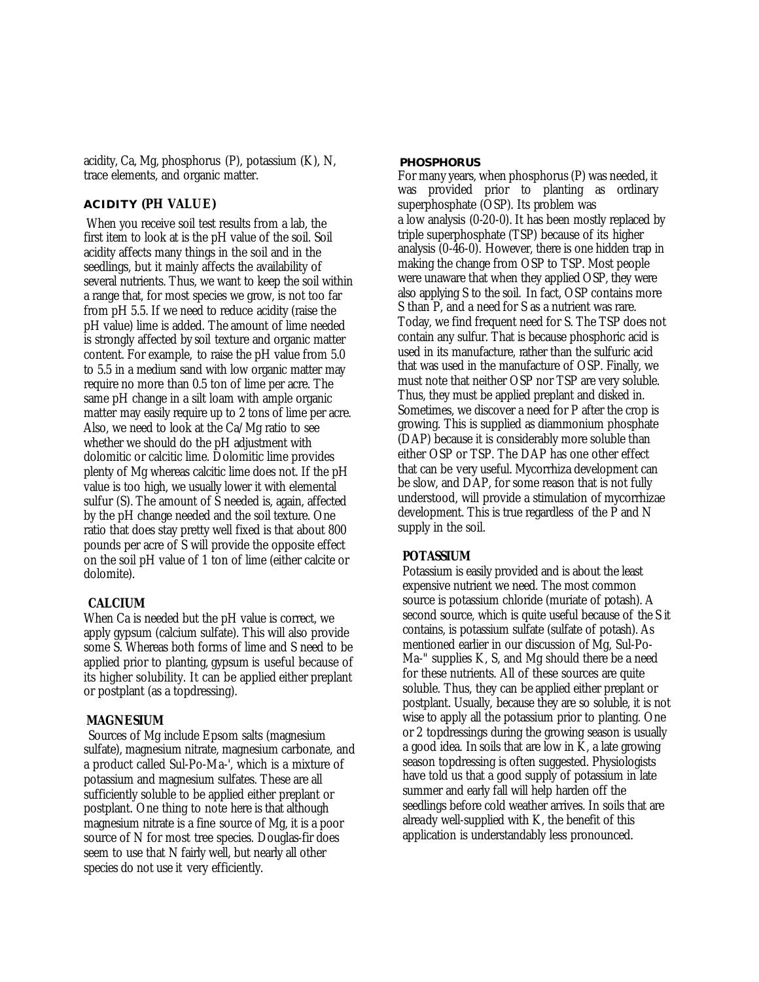acidity, Ca, Mg, phosphorus (P), potassium (K), N, trace elements, and organic matter.

# **ACIDITY (PH VALUE)**

When you receive soil test results from a lab, the first item to look at is the pH value of the soil. Soil acidity affects many things in the soil and in the seedlings, but it mainly affects the availability of several nutrients. Thus, we want to keep the soil within a range that, for most species we grow, is not too far from pH 5.5. If we need to reduce acidity (raise the pH value) lime is added. The amount of lime needed is strongly affected by soil texture and organic matter content. For example, to raise the pH value from 5.0 to 5.5 in a medium sand with low organic matter may require no more than 0.5 ton of lime per acre. The same pH change in a silt loam with ample organic matter may easily require up to 2 tons of lime per acre. Also, we need to look at the Ca/Mg ratio to see whether we should do the pH adjustment with dolomitic or calcitic lime. Dolomitic lime provides plenty of Mg whereas calcitic lime does not. If the pH value is too high, we usually lower it with elemental sulfur (S). The amount of S needed is, again, affected by the pH change needed and the soil texture. One ratio that does stay pretty well fixed is that about 800 pounds per acre of S will provide the opposite effect on the soil pH value of 1 ton of lime (either calcite or dolomite).

## **CALCIUM**

When Ca is needed but the pH value is correct, we apply gypsum (calcium sulfate). This will also provide some S. Whereas both forms of lime and S need to be applied prior to planting, gypsum is useful because of its higher solubility. It can be applied either preplant or postplant (as a topdressing).

## **MAGNESIUM**

Sources of Mg include Epsom salts (magnesium sulfate), magnesium nitrate, magnesium carbonate, and a product called Sul-Po-Ma-', which is a mixture of potassium and magnesium sulfates. These are all sufficiently soluble to be applied either preplant or postplant. One thing to note here is that although magnesium nitrate is a fine source of Mg, it is a poor source of N for most tree species. Douglas-fir does seem to use that N fairly well, but nearly all other species do not use it very efficiently.

#### **PHOSPHORUS**

For many years, when phosphorus (P) was needed, it was provided prior to planting as ordinary superphosphate (OSP). Its problem was a low analysis (0-20-0). It has been mostly replaced by triple superphosphate (TSP) because of its higher analysis (0-46-0). However, there is one hidden trap in making the change from OSP to TSP. Most people were unaware that when they applied OSP, they were also applying S to the soil. In fact, OSP contains more S than P, and a need for S as a nutrient was rare. Today, we find frequent need for S. The TSP does not contain any sulfur. That is because phosphoric acid is used in its manufacture, rather than the sulfuric acid that was used in the manufacture of OSP. Finally, we must note that neither OSP nor TSP are very soluble. Thus, they must be applied preplant and disked in. Sometimes, we discover a need for P after the crop is growing. This is supplied as diammonium phosphate (DAP) because it is considerably more soluble than either OSP or TSP. The DAP has one other effect that can be very useful. Mycorrhiza development can be slow, and DAP, for some reason that is not fully understood, will provide a stimulation of mycorrhizae development. This is true regardless of the P and N supply in the soil.

## **POTASSIUM**

Potassium is easily provided and is about the least expensive nutrient we need. The most common source is potassium chloride (muriate of potash). A second source, which is quite useful because of the S it contains, is potassium sulfate (sulfate of potash). As mentioned earlier in our discussion of Mg, Sul-Po-Ma-" supplies K, S, and Mg should there be a need for these nutrients. All of these sources are quite soluble. Thus, they can be applied either preplant or postplant. Usually, because they are so soluble, it is not wise to apply all the potassium prior to planting. One or 2 topdressings during the growing season is usually a good idea. In soils that are low in K, a late growing season topdressing is often suggested. Physiologists have told us that a good supply of potassium in late summer and early fall will help harden off the seedlings before cold weather arrives. In soils that are already well-supplied with K, the benefit of this application is understandably less pronounced.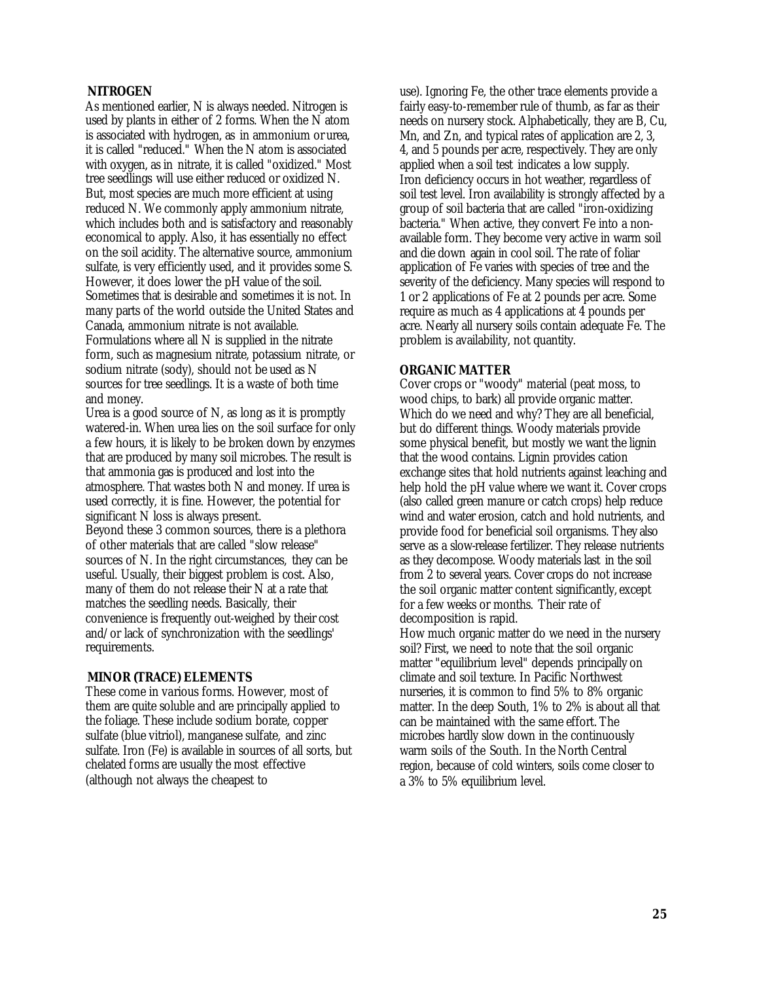## **NITROGEN**

As mentioned earlier, N is always needed. Nitrogen is used by plants in either of 2 forms. When the N atom is associated with hydrogen, as in ammonium or urea, it is called "reduced." When the N atom is associated with oxygen, as in nitrate, it is called "oxidized." Most tree seedlings will use either reduced or oxidized N. But, most species are much more efficient at using reduced N. We commonly apply ammonium nitrate, which includes both and is satisfactory and reasonably economical to apply. Also, it has essentially no effect on the soil acidity. The alternative source, ammonium sulfate, is very efficiently used, and it provides some S. However, it does lower the pH value of the soil. Sometimes that is desirable and sometimes it is not. In many parts of the world outside the United States and Canada, ammonium nitrate is not available. Formulations where all N is supplied in the nitrate form, such as magnesium nitrate, potassium nitrate, or sodium nitrate (sody), should not be used as N sources for tree seedlings. It is a waste of both time and money.

Urea is a good source of N, as long as it is promptly watered-in. When urea lies on the soil surface for only a few hours, it is likely to be broken down by enzymes that are produced by many soil microbes. The result is that ammonia gas is produced and lost into the atmosphere. That wastes both N and money. If urea is used correctly, it is fine. However, the potential for significant N loss is always present. Beyond these 3 common sources, there is a plethora of other materials that are called "slow release" sources of N. In the right circumstances, they can be useful. Usually, their biggest problem is cost. Also, many of them do not release their N at a rate that matches the seedling needs. Basically, their convenience is frequently out-weighed by their cost and/or lack of synchronization with the seedlings' requirements.

## **MINOR (TRACE) ELEMENTS**

These come in various forms. However, most of them are quite soluble and are principally applied to the foliage. These include sodium borate, copper sulfate (blue vitriol), manganese sulfate, and zinc sulfate. Iron (Fe) is available in sources of all sorts, but chelated forms are usually the most effective (although not always the cheapest to

use). Ignoring Fe, the other trace elements provide a fairly easy-to-remember rule of thumb, as far as their needs on nursery stock. Alphabetically, they are B, Cu, Mn, and Zn, and typical rates of application are 2, 3, 4, and 5 pounds per acre, respectively. They are only applied when a soil test indicates a low supply. Iron deficiency occurs in hot weather, regardless of soil test level. Iron availability is strongly affected by a group of soil bacteria that are called "iron-oxidizing bacteria." When active, they convert Fe into a nonavailable form. They become very active in warm soil and die down again in cool soil. The rate of foliar application of Fe varies with species of tree and the severity of the deficiency. Many species will respond to 1 or 2 applications of Fe at 2 pounds per acre. Some require as much as 4 applications at 4 pounds per acre. Nearly all nursery soils contain adequate Fe. The problem is availability, not quantity.

## **ORGANIC MATTER**

Cover crops or "woody" material (peat moss, to wood chips, to bark) all provide organic matter. Which do we need and why? They are all beneficial, but do different things. Woody materials provide some physical benefit, but mostly we want the lignin that the wood contains. Lignin provides cation exchange sites that hold nutrients against leaching and help hold the pH value where we want it. Cover crops (also called green manure or catch crops) help reduce wind and water erosion, catch and hold nutrients, and provide food for beneficial soil organisms. They also serve as a slow-release fertilizer. They release nutrients as they decompose. Woody materials last in the soil from 2 to several years. Cover crops do not increase the soil organic matter content significantly, except for a few weeks or months. Their rate of decomposition is rapid.

How much organic matter do we need in the nursery soil? First, we need to note that the soil organic matter "equilibrium level" depends principally on climate and soil texture. In Pacific Northwest nurseries, it is common to find 5% to 8% organic matter. In the deep South, 1% to 2% is about all that can be maintained with the same effort. The microbes hardly slow down in the continuously warm soils of the South. In the North Central region, because of cold winters, soils come closer to a 3% to 5% equilibrium level.